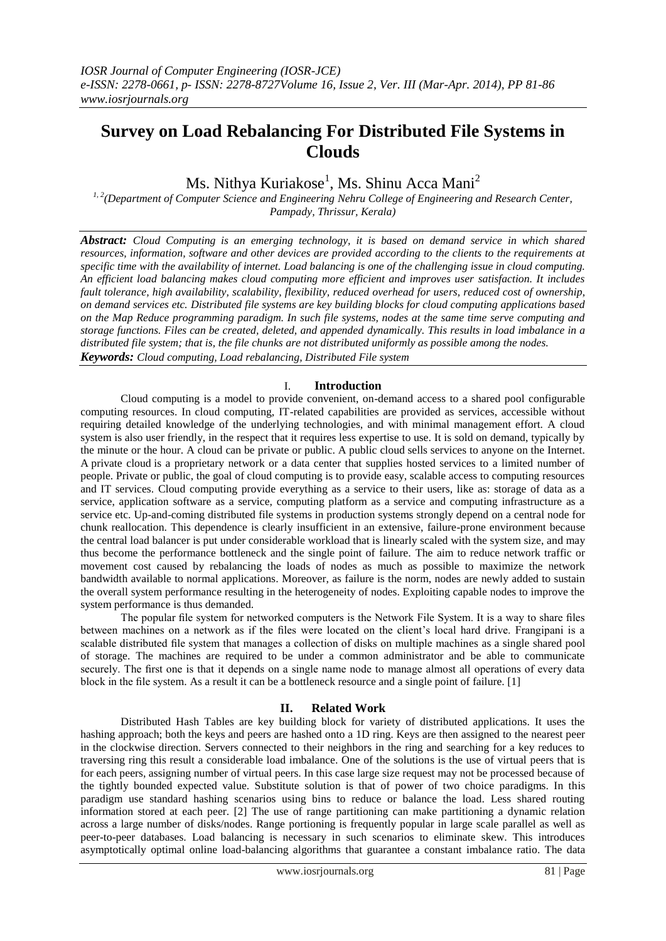# **Survey on Load Rebalancing For Distributed File Systems in Clouds**

Ms. Nithya Kuriakose<sup>1</sup>, Ms. Shinu Acca Mani<sup>2</sup>

*1, 2(Department of Computer Science and Engineering Nehru College of Engineering and Research Center, Pampady, Thrissur, Kerala)*

*Abstract: Cloud Computing is an emerging technology, it is based on demand service in which shared resources, information, software and other devices are provided according to the clients to the requirements at specific time with the availability of internet. Load balancing is one of the challenging issue in cloud computing. An efficient load balancing makes cloud computing more efficient and improves user satisfaction. It includes fault tolerance, high availability, scalability, flexibility, reduced overhead for users, reduced cost of ownership, on demand services etc. Distributed file systems are key building blocks for cloud computing applications based on the Map Reduce programming paradigm. In such file systems, nodes at the same time serve computing and storage functions. Files can be created, deleted, and appended dynamically. This results in load imbalance in a distributed file system; that is, the file chunks are not distributed uniformly as possible among the nodes. Keywords: Cloud computing, Load rebalancing, Distributed File system*

#### I. **Introduction**

Cloud computing is a model to provide convenient, on-demand access to a shared pool configurable computing resources. In cloud computing, IT-related capabilities are provided as services, accessible without requiring detailed knowledge of the underlying technologies, and with minimal management effort. A cloud system is also user friendly, in the respect that it requires less expertise to use. It is sold on demand, typically by the minute or the hour. A cloud can be private or public. A [public cloud](http://searchcloudcomputing.techtarget.com/definition/public-cloud) sells services to anyone on the Internet. A [private cloud](http://searchcloudcomputing.techtarget.com/definition/private-cloud) is a proprietary network or a data center that supplies hosted services to a limited number of people. Private or public, the goal of cloud computing is to provide easy, scalable access to computing resources and IT services. Cloud computing provide everything as a service to their users, like as: storage of data as a service, application software as a service, computing platform as a service and computing infrastructure as a service etc. Up-and-coming distributed file systems in production systems strongly depend on a central node for chunk reallocation. This dependence is clearly insufficient in an extensive, failure-prone environment because the central load balancer is put under considerable workload that is linearly scaled with the system size, and may thus become the performance bottleneck and the single point of failure. The aim to reduce network traffic or movement cost caused by rebalancing the loads of nodes as much as possible to maximize the network bandwidth available to normal applications. Moreover, as failure is the norm, nodes are newly added to sustain the overall system performance resulting in the heterogeneity of nodes. Exploiting capable nodes to improve the system performance is thus demanded.

The popular file system for networked computers is the Network File System. It is a way to share files between machines on a network as if the files were located on the client's local hard drive. Frangipani is a scalable distributed file system that manages a collection of disks on multiple machines as a single shared pool of storage. The machines are required to be under a common administrator and be able to communicate securely. The first one is that it depends on a single name node to manage almost all operations of every data block in the file system. As a result it can be a bottleneck resource and a single point of failure. [1]

## **II. Related Work**

Distributed Hash Tables are key building block for variety of distributed applications. It uses the hashing approach; both the keys and peers are hashed onto a 1D ring. Keys are then assigned to the nearest peer in the clockwise direction. Servers connected to their neighbors in the ring and searching for a key reduces to traversing ring this result a considerable load imbalance. One of the solutions is the use of virtual peers that is for each peers, assigning number of virtual peers. In this case large size request may not be processed because of the tightly bounded expected value. Substitute solution is that of power of two choice paradigms. In this paradigm use standard hashing scenarios using bins to reduce or balance the load. Less shared routing information stored at each peer. [2] The use of range partitioning can make partitioning a dynamic relation across a large number of disks/nodes. Range portioning is frequently popular in large scale parallel as well as peer-to-peer databases. Load balancing is necessary in such scenarios to eliminate skew. This introduces asymptotically optimal online load-balancing algorithms that guarantee a constant imbalance ratio. The data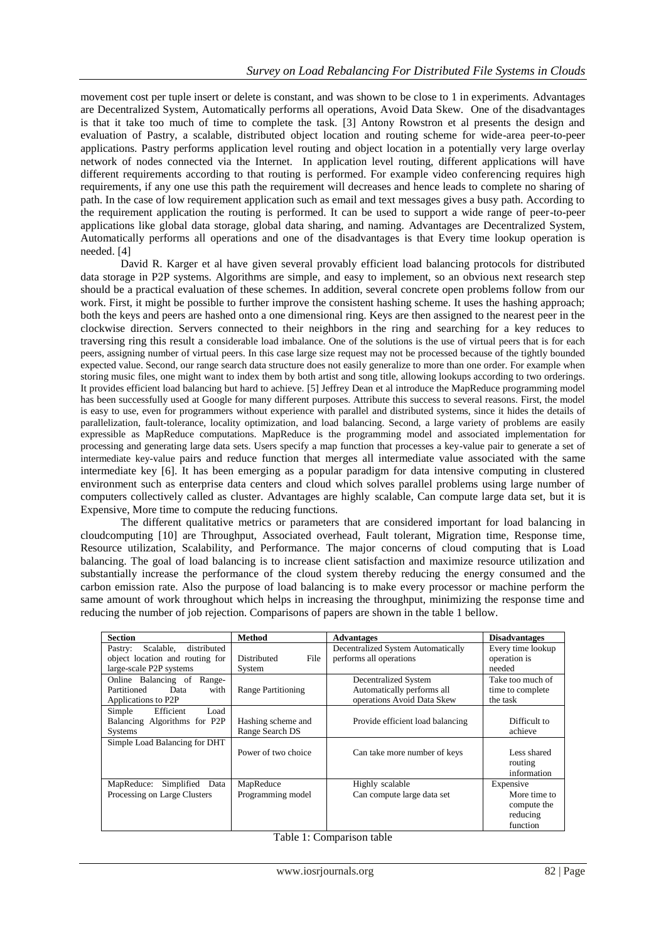movement cost per tuple insert or delete is constant, and was shown to be close to 1 in experiments. Advantages are Decentralized System, Automatically performs all operations, Avoid Data Skew. One of the disadvantages is that it take too much of time to complete the task. [3] Antony Rowstron et al presents the design and evaluation of Pastry, a scalable, distributed object location and routing scheme for wide-area peer-to-peer applications. Pastry performs application level routing and object location in a potentially very large overlay network of nodes connected via the Internet. In application level routing, different applications will have different requirements according to that routing is performed. For example video conferencing requires high requirements, if any one use this path the requirement will decreases and hence leads to complete no sharing of path. In the case of low requirement application such as email and text messages gives a busy path. According to the requirement application the routing is performed. It can be used to support a wide range of peer-to-peer applications like global data storage, global data sharing, and naming. Advantages are Decentralized System, Automatically performs all operations and one of the disadvantages is that Every time lookup operation is needed. [4]

David R. Karger et al have given several provably efficient load balancing protocols for distributed data storage in P2P systems. Algorithms are simple, and easy to implement, so an obvious next research step should be a practical evaluation of these schemes. In addition, several concrete open problems follow from our work. First, it might be possible to further improve the consistent hashing scheme. It uses the hashing approach; both the keys and peers are hashed onto a one dimensional ring. Keys are then assigned to the nearest peer in the clockwise direction. Servers connected to their neighbors in the ring and searching for a key reduces to traversing ring this result a considerable load imbalance. One of the solutions is the use of virtual peers that is for each peers, assigning number of virtual peers. In this case large size request may not be processed because of the tightly bounded expected value. Second, our range search data structure does not easily generalize to more than one order. For example when storing music files, one might want to index them by both artist and song title, allowing lookups according to two orderings. It provides efficient load balancing but hard to achieve. [5] Jeffrey Dean et al introduce the MapReduce programming model has been successfully used at Google for many different purposes. Attribute this success to several reasons. First, the model is easy to use, even for programmers without experience with parallel and distributed systems, since it hides the details of parallelization, fault-tolerance, locality optimization, and load balancing. Second, a large variety of problems are easily expressible as MapReduce computations. MapReduce is the programming model and associated implementation for processing and generating large data sets. Users specify a map function that processes a key-value pair to generate a set of intermediate key-value pairs and reduce function that merges all intermediate value associated with the same intermediate key [6]. It has been emerging as a popular paradigm for data intensive computing in clustered environment such as enterprise data centers and cloud which solves parallel problems using large number of computers collectively called as cluster. Advantages are highly scalable, Can compute large data set, but it is Expensive, More time to compute the reducing functions.

The different qualitative metrics or parameters that are considered important for load balancing in cloudcomputing [10] are Throughput, Associated overhead, Fault tolerant, Migration time, Response time, Resource utilization, Scalability, and Performance. The major concerns of cloud computing that is Load balancing. The goal of load balancing is to increase client satisfaction and maximize resource utilization and substantially increase the performance of the cloud system thereby reducing the energy consumed and the carbon emission rate. Also the purpose of load balancing is to make every processor or machine perform the same amount of work throughout which helps in increasing the throughput, minimizing the response time and reducing the number of job rejection. Comparisons of papers are shown in the table 1 bellow.

| <b>Section</b>                      | <b>Method</b>             | <b>Advantages</b>                  | <b>Disadvantages</b> |
|-------------------------------------|---------------------------|------------------------------------|----------------------|
| distributed<br>Scalable,<br>Pastry: |                           | Decentralized System Automatically | Every time lookup    |
| object location and routing for     | Distributed<br>File       | performs all operations            | operation is         |
| large-scale P2P systems             | System                    |                                    | needed               |
| Online Balancing of<br>Range-       |                           | Decentralized System               | Take too much of     |
| Partitioned<br>Data<br>with         | <b>Range Partitioning</b> | Automatically performs all         | time to complete     |
| Applications to P2P                 |                           | operations Avoid Data Skew         | the task             |
| Efficient<br>Load<br>Simple         |                           |                                    |                      |
| Balancing Algorithms for P2P        | Hashing scheme and        | Provide efficient load balancing   | Difficult to         |
| <b>Systems</b>                      | Range Search DS           |                                    | achieve              |
| Simple Load Balancing for DHT       |                           |                                    |                      |
|                                     | Power of two choice       | Can take more number of keys       | Less shared          |
|                                     |                           |                                    | routing              |
|                                     |                           |                                    | information          |
| Simplified<br>MapReduce:<br>Data    | MapReduce                 | Highly scalable                    | Expensive            |
| Processing on Large Clusters        | Programming model         | Can compute large data set         | More time to         |
|                                     |                           |                                    | compute the          |
|                                     |                           |                                    | reducing             |
|                                     |                           |                                    | function             |

| Table 1: Comparison table |  |
|---------------------------|--|
|---------------------------|--|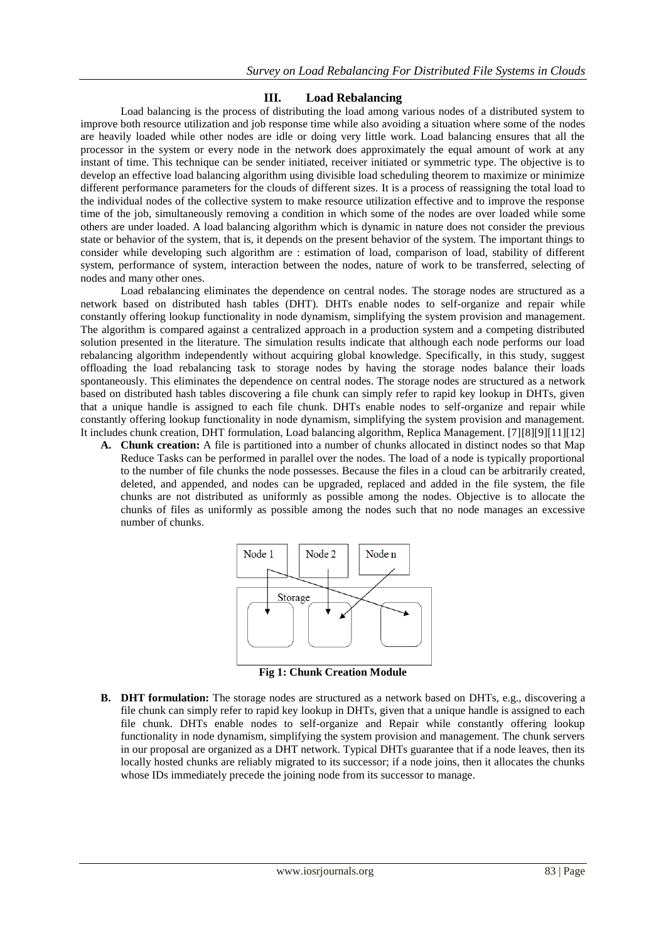### **III. Load Rebalancing**

Load balancing is the process of distributing the load among various nodes of a distributed system to improve both resource utilization and job response time while also avoiding a situation where some of the nodes are heavily loaded while other nodes are idle or doing very little work. Load balancing ensures that all the processor in the system or every node in the network does approximately the equal amount of work at any instant of time. This technique can be sender initiated, receiver initiated or symmetric type. The objective is to develop an effective load balancing algorithm using divisible load scheduling theorem to maximize or minimize different performance parameters for the clouds of different sizes. It is a process of reassigning the total load to the individual nodes of the collective system to make resource utilization effective and to improve the response time of the job, simultaneously removing a condition in which some of the nodes are over loaded while some others are under loaded. A load balancing algorithm which is dynamic in nature does not consider the previous state or behavior of the system, that is, it depends on the present behavior of the system. The important things to consider while developing such algorithm are : estimation of load, comparison of load, stability of different system, performance of system, interaction between the nodes, nature of work to be transferred, selecting of nodes and many other ones.

Load rebalancing eliminates the dependence on central nodes. The storage nodes are structured as a network based on distributed hash tables (DHT). DHTs enable nodes to self-organize and repair while constantly offering lookup functionality in node dynamism, simplifying the system provision and management. The algorithm is compared against a centralized approach in a production system and a competing distributed solution presented in the literature. The simulation results indicate that although each node performs our load rebalancing algorithm independently without acquiring global knowledge. Specifically, in this study, suggest offloading the load rebalancing task to storage nodes by having the storage nodes balance their loads spontaneously. This eliminates the dependence on central nodes. The storage nodes are structured as a network based on distributed hash tables discovering a file chunk can simply refer to rapid key lookup in DHTs, given that a unique handle is assigned to each file chunk. DHTs enable nodes to self-organize and repair while constantly offering lookup functionality in node dynamism, simplifying the system provision and management. It includes chunk creation, DHT formulation, Load balancing algorithm, Replica Management. [7][8][9][11][12]

**A. Chunk creation:** A file is partitioned into a number of chunks allocated in distinct nodes so that Map Reduce Tasks can be performed in parallel over the nodes. The load of a node is typically proportional to the number of file chunks the node possesses. Because the files in a cloud can be arbitrarily created, deleted, and appended, and nodes can be upgraded, replaced and added in the file system, the file chunks are not distributed as uniformly as possible among the nodes. Objective is to allocate the chunks of files as uniformly as possible among the nodes such that no node manages an excessive number of chunks.



**Fig 1: Chunk Creation Module**

**B. DHT formulation:** The storage nodes are structured as a network based on DHTs, e.g., discovering a file chunk can simply refer to rapid key lookup in DHTs, given that a unique handle is assigned to each file chunk. DHTs enable nodes to self-organize and Repair while constantly offering lookup functionality in node dynamism, simplifying the system provision and management. The chunk servers in our proposal are organized as a DHT network. Typical DHTs guarantee that if a node leaves, then its locally hosted chunks are reliably migrated to its successor; if a node joins, then it allocates the chunks whose IDs immediately precede the joining node from its successor to manage.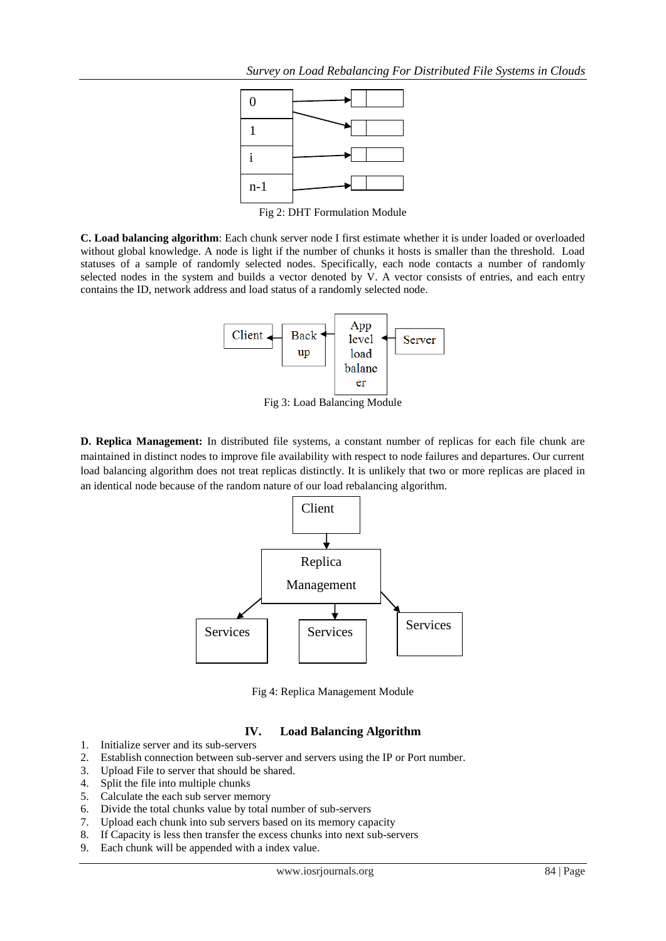

**C. Load balancing algorithm**: Each chunk server node I first estimate whether it is under loaded or overloaded without global knowledge. A node is light if the number of chunks it hosts is smaller than the threshold. Load statuses of a sample of randomly selected nodes. Specifically, each node contacts a number of randomly selected nodes in the system and builds a vector denoted by V. A vector consists of entries, and each entry contains the ID, network address and load status of a randomly selected node.



Fig 3: Load Balancing Module

**D. Replica Management:** In distributed file systems, a constant number of replicas for each file chunk are maintained in distinct nodes to improve file availability with respect to node failures and departures. Our current load balancing algorithm does not treat replicas distinctly. It is unlikely that two or more replicas are placed in an identical node because of the random nature of our load rebalancing algorithm.



Fig 4: Replica Management Module

# **IV. Load Balancing Algorithm**

- 1. Initialize server and its sub-servers
- 2. Establish connection between sub-server and servers using the IP or Port number.
- 3. Upload File to server that should be shared.<br>4. Split the file into multiple chunks
- Split the file into multiple chunks
- 5. Calculate the each sub server memory
- 6. Divide the total chunks value by total number of sub-servers
- 7. Upload each chunk into sub servers based on its memory capacity
- 8. If Capacity is less then transfer the excess chunks into next sub-servers
- 9. Each chunk will be appended with a index value.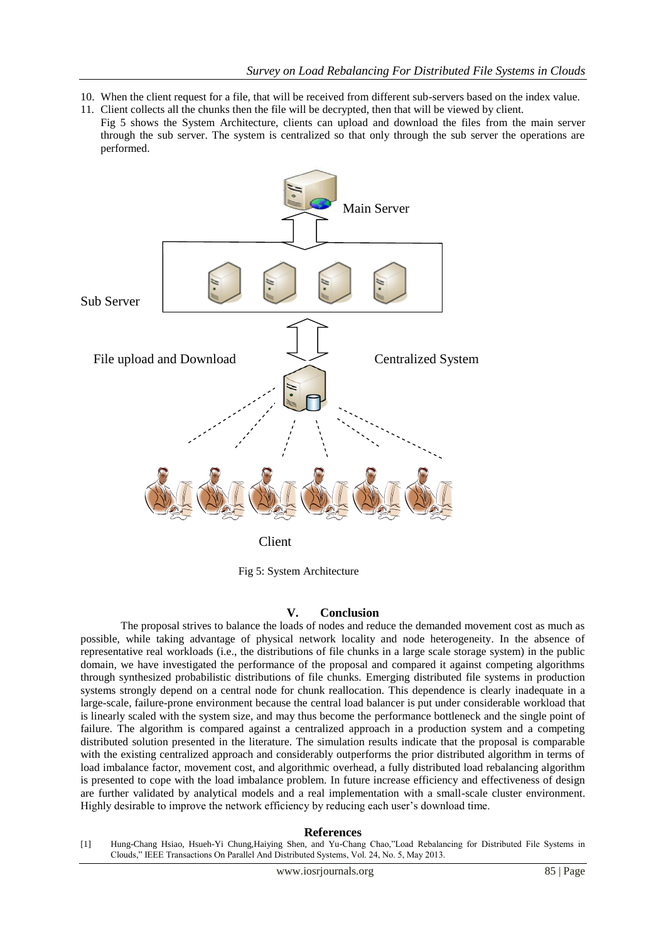- 10. When the client request for a file, that will be received from different sub-servers based on the index value.
- 11. Client collects all the chunks then the file will be decrypted, then that will be viewed by client. Fig 5 shows the System Architecture, clients can upload and download the files from the main server through the sub server. The system is centralized so that only through the sub server the operations are performed.



Client

Fig 5: System Architecture

#### **V. Conclusion**

The proposal strives to balance the loads of nodes and reduce the demanded movement cost as much as possible, while taking advantage of physical network locality and node heterogeneity. In the absence of representative real workloads (i.e., the distributions of file chunks in a large scale storage system) in the public domain, we have investigated the performance of the proposal and compared it against competing algorithms through synthesized probabilistic distributions of file chunks. Emerging distributed file systems in production systems strongly depend on a central node for chunk reallocation. This dependence is clearly inadequate in a large-scale, failure-prone environment because the central load balancer is put under considerable workload that is linearly scaled with the system size, and may thus become the performance bottleneck and the single point of failure. The algorithm is compared against a centralized approach in a production system and a competing distributed solution presented in the literature. The simulation results indicate that the proposal is comparable with the existing centralized approach and considerably outperforms the prior distributed algorithm in terms of load imbalance factor, movement cost, and algorithmic overhead, a fully distributed load rebalancing algorithm is presented to cope with the load imbalance problem. In future increase efficiency and effectiveness of design are further validated by analytical models and a real implementation with a small-scale cluster environment. Highly desirable to improve the network efficiency by reducing each user's download time.

#### **References**

[1] Hung-Chang Hsiao, Hsueh-Yi Chung,Haiying Shen, and Yu-Chang Chao,"Load Rebalancing for Distributed File Systems in Clouds," IEEE Transactions On Parallel And Distributed Systems, Vol. 24, No. 5, May 2013.